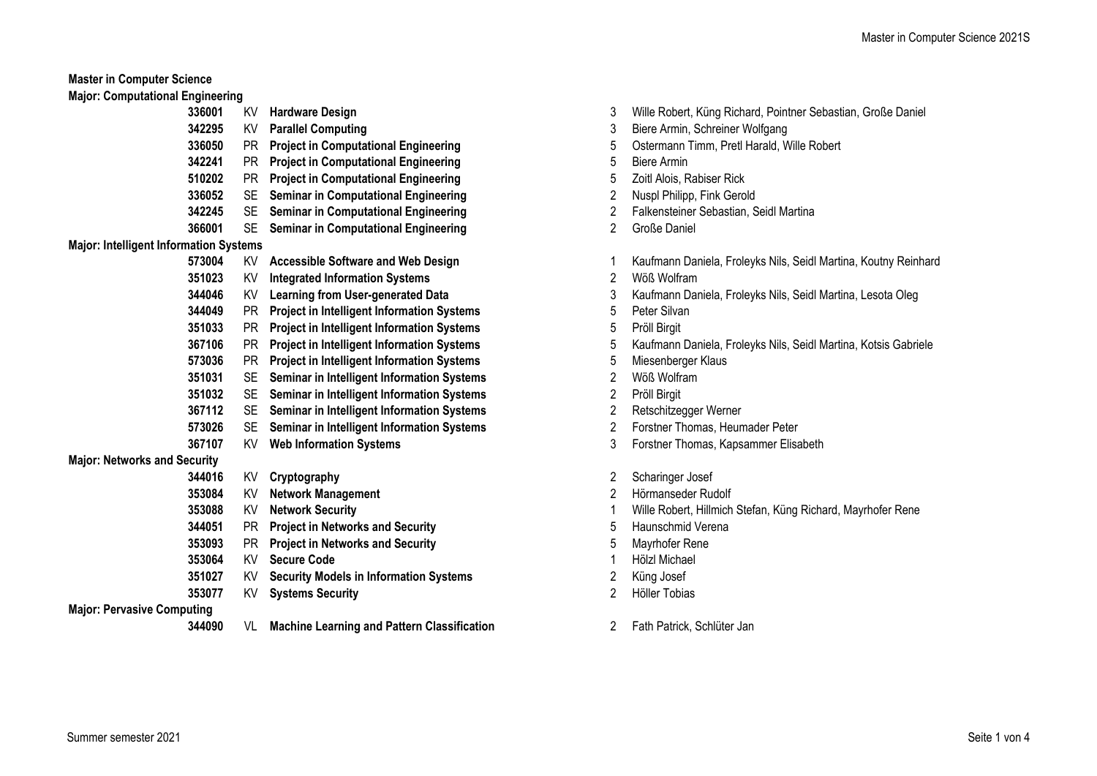| <b>Major: Computational Engineering</b>       |        |           |                                                    |                         |                             |
|-----------------------------------------------|--------|-----------|----------------------------------------------------|-------------------------|-----------------------------|
|                                               | 336001 | KV        | <b>Hardware Design</b>                             | 3                       | Wille Robert, Küng Richar   |
|                                               | 342295 | KV        | <b>Parallel Computing</b>                          | 3                       | Biere Armin, Schreiner Wo   |
|                                               | 336050 | PR.       | <b>Project in Computational Engineering</b>        | 5                       | Ostermann Timm, Pretl Ha    |
|                                               | 342241 | <b>PR</b> | <b>Project in Computational Engineering</b>        | 5                       | <b>Biere Armin</b>          |
|                                               | 510202 | <b>PR</b> | <b>Project in Computational Engineering</b>        | 5                       | Zoitl Alois, Rabiser Rick   |
|                                               | 336052 | <b>SE</b> | <b>Seminar in Computational Engineering</b>        | 2                       | Nuspl Philipp, Fink Gerold  |
|                                               | 342245 | <b>SE</b> | <b>Seminar in Computational Engineering</b>        | 2                       | Falkensteiner Sebastian, 9  |
|                                               | 366001 | <b>SE</b> | <b>Seminar in Computational Engineering</b>        | 2                       | Große Daniel                |
| <b>Major: Intelligent Information Systems</b> |        |           |                                                    |                         |                             |
|                                               | 573004 | KV        | <b>Accessible Software and Web Design</b>          | 1                       | Kaufmann Daniela, Froley    |
|                                               | 351023 | KV        | <b>Integrated Information Systems</b>              | 2                       | Wöß Wolfram                 |
|                                               | 344046 | KV        | <b>Learning from User-generated Data</b>           | 3                       | Kaufmann Daniela, Froley    |
|                                               | 344049 | <b>PR</b> | <b>Project in Intelligent Information Systems</b>  | 5                       | Peter Silvan                |
|                                               | 351033 | PR        | <b>Project in Intelligent Information Systems</b>  | 5                       | Pröll Birgit                |
|                                               | 367106 | PR        | <b>Project in Intelligent Information Systems</b>  | 5                       | Kaufmann Daniela, Froley    |
|                                               | 573036 | <b>PR</b> | <b>Project in Intelligent Information Systems</b>  | 5                       | Miesenberger Klaus          |
|                                               | 351031 | <b>SE</b> | Seminar in Intelligent Information Systems         | $\overline{c}$          | Wöß Wolfram                 |
|                                               | 351032 | <b>SE</b> | Seminar in Intelligent Information Systems         | 2                       | Pröll Birgit                |
|                                               | 367112 | <b>SE</b> | Seminar in Intelligent Information Systems         | $\overline{\mathbf{c}}$ | Retschitzegger Werner       |
|                                               | 573026 | <b>SE</b> | Seminar in Intelligent Information Systems         | 2                       | Forstner Thomas, Heuma      |
|                                               | 367107 | KV        | <b>Web Information Systems</b>                     | 3                       | Forstner Thomas, Kapsan     |
| <b>Major: Networks and Security</b>           |        |           |                                                    |                         |                             |
|                                               | 344016 | KV        | Cryptography                                       | 2                       | Scharinger Josef            |
|                                               | 353084 | KV        | <b>Network Management</b>                          | 2                       | Hörmanseder Rudolf          |
|                                               | 353088 | KV        | <b>Network Security</b>                            | 1                       | Wille Robert, Hillmich Stef |
|                                               | 344051 | <b>PR</b> | <b>Project in Networks and Security</b>            | 5                       | Haunschmid Verena           |
|                                               | 353093 | <b>PR</b> | <b>Project in Networks and Security</b>            | 5                       | Mayrhofer Rene              |
|                                               | 353064 | KV        | <b>Secure Code</b>                                 | 1                       | Hölzl Michael               |
|                                               | 351027 | KV        | <b>Security Models in Information Systems</b>      | 2                       | Küng Josef                  |
|                                               | 353077 | KV        | <b>Systems Security</b>                            | 2                       | Höller Tobias               |
| <b>Major: Pervasive Computing</b>             |        |           |                                                    |                         |                             |
|                                               | 344090 | VL        | <b>Machine Learning and Pattern Classification</b> | 2                       | Fath Patrick, Schlüter Jan  |

Biere Armin, Schreiner Wolfgang **Ostermann Timm, Pretl Harald, Wille Robert Zoitl Alois, Rabiser Rick Nuspl Philipp, Fink Gerold Falkensteiner Sebastian, Seidl Martina 573004** KV **Accessible Software and Web Design** 1 Kaufmann Daniela, Froleyks Nils, Seidl Martina, Koutny Reinhard

**Kaufmann Daniela, Froleyks Nils, Seidl Martina, Lesota Oleg** 

**367106** PR **Project in Intelligent Information Systems** 5 Kaufmann Daniela, Froleyks Nils, Seidl Martina, Kotsis Gabriele

**353088** KV **Network Security** 1 Wille Robert, Hillmich Stefan, Küng Richard, Mayrhofer Rene

**573026** SE **Seminar in Intelligent Information Systems** 2 Forstner Thomas, Heumader Peter **367107** KV **Web Information Systems** 3 Forstner Thomas, Kapsammer Elisabeth

**336001** KV **Hardware Design** 3 Wille Robert, Küng Richard, Pointner Sebastian, Große Daniel

Summer semester 2021 Seite 1 von 4

**Master in Computer Science**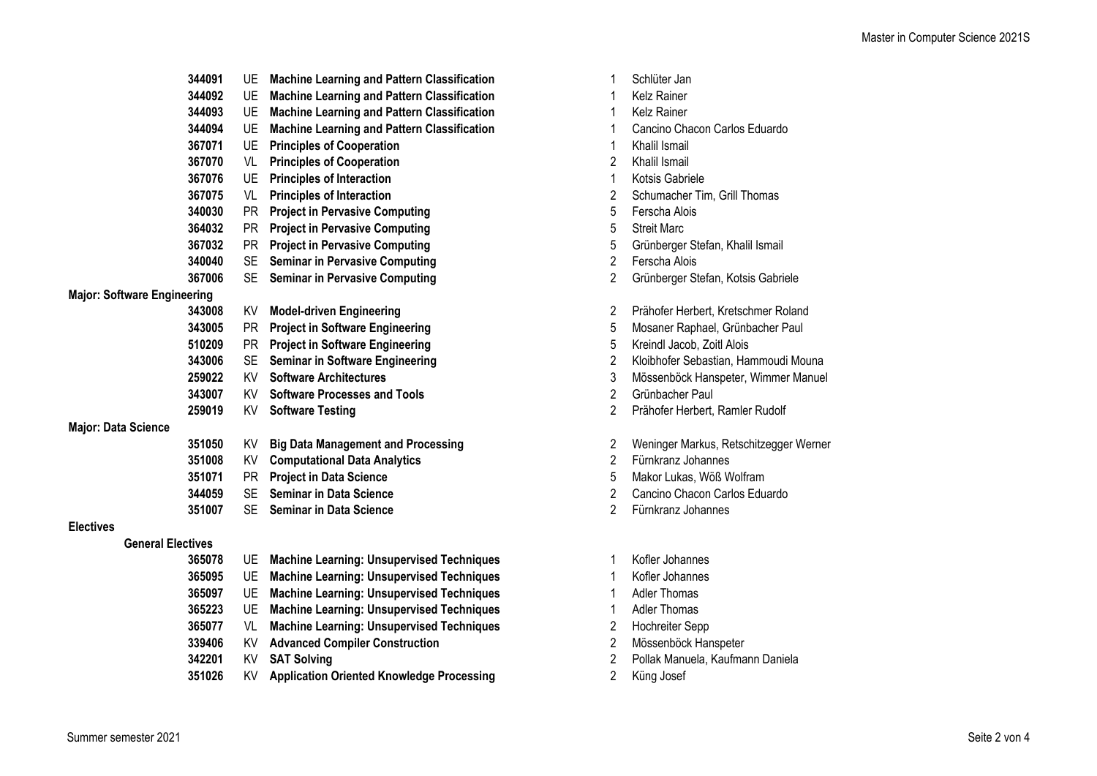|                                    | 344091 | UE.       | <b>Machine Learning and Pattern Classification</b> |                | Schlüter Jan                           |
|------------------------------------|--------|-----------|----------------------------------------------------|----------------|----------------------------------------|
|                                    | 344092 | UE        | <b>Machine Learning and Pattern Classification</b> |                | Kelz Rainer                            |
|                                    | 344093 | UE        | <b>Machine Learning and Pattern Classification</b> | 1              | <b>Kelz Rainer</b>                     |
|                                    | 344094 | UE        | <b>Machine Learning and Pattern Classification</b> |                | Cancino Chacon Carlos Eduardo          |
|                                    | 367071 | UE        | <b>Principles of Cooperation</b>                   |                | Khalil Ismail                          |
|                                    | 367070 | VL        | <b>Principles of Cooperation</b>                   | 2              | Khalil Ismail                          |
|                                    | 367076 | UE        | <b>Principles of Interaction</b>                   |                | Kotsis Gabriele                        |
|                                    | 367075 | VL        | <b>Principles of Interaction</b>                   | 2              | Schumacher Tim, Grill Thomas           |
|                                    | 340030 | PR.       | <b>Project in Pervasive Computing</b>              | 5              | Ferscha Alois                          |
|                                    | 364032 | PR.       | <b>Project in Pervasive Computing</b>              | 5              | <b>Streit Marc</b>                     |
|                                    | 367032 | PR        | <b>Project in Pervasive Computing</b>              | 5              | Grünberger Stefan, Khalil Ismail       |
|                                    | 340040 | <b>SE</b> | <b>Seminar in Pervasive Computing</b>              | 2              | Ferscha Alois                          |
|                                    | 367006 | <b>SE</b> | <b>Seminar in Pervasive Computing</b>              | $\overline{c}$ | Grünberger Stefan, Kotsis Gabriele     |
| <b>Major: Software Engineering</b> |        |           |                                                    |                |                                        |
|                                    | 343008 | KV        | <b>Model-driven Engineering</b>                    | $\overline{2}$ | Prähofer Herbert, Kretschmer Roland    |
|                                    | 343005 | PR.       | <b>Project in Software Engineering</b>             | 5              | Mosaner Raphael, Grünbacher Paul       |
|                                    | 510209 | <b>PR</b> | <b>Project in Software Engineering</b>             | 5              | Kreindl Jacob, Zoitl Alois             |
|                                    | 343006 | <b>SE</b> | <b>Seminar in Software Engineering</b>             | $\overline{2}$ | Kloibhofer Sebastian, Hammoudi Mouna   |
|                                    | 259022 | KV        | <b>Software Architectures</b>                      | 3              | Mössenböck Hanspeter, Wimmer Manuel    |
|                                    | 343007 | KV        | <b>Software Processes and Tools</b>                | $\overline{2}$ | Grünbacher Paul                        |
|                                    | 259019 | KV        | <b>Software Testing</b>                            | 2              | Prähofer Herbert, Ramler Rudolf        |
| <b>Major: Data Science</b>         |        |           |                                                    |                |                                        |
|                                    | 351050 | KV        | <b>Big Data Management and Processing</b>          | 2              | Weninger Markus, Retschitzegger Werner |
|                                    | 351008 | KV        | <b>Computational Data Analytics</b>                | $\overline{2}$ | Fürnkranz Johannes                     |
|                                    | 351071 | <b>PR</b> | <b>Project in Data Science</b>                     | 5              | Makor Lukas, Wöß Wolfram               |
|                                    | 344059 | <b>SE</b> | <b>Seminar in Data Science</b>                     | $\overline{2}$ | Cancino Chacon Carlos Eduardo          |
|                                    | 351007 | <b>SE</b> | <b>Seminar in Data Science</b>                     | 2              | Fürnkranz Johannes                     |
| <b>Electives</b>                   |        |           |                                                    |                |                                        |
| <b>General Electives</b>           |        |           |                                                    |                |                                        |
|                                    | 365078 | UE        | <b>Machine Learning: Unsupervised Techniques</b>   | 1              | Kofler Johannes                        |

- UE **Machine Learning: Unsupervised Techniques** 1 Kofler Johannes
- UE **Machine Learning: Unsupervised Techniques** 1 Adler Thomas
- UE **Machine Learning: Unsupervised Techniques** 1 Adler Thomas
- VL **Machine Learning: Unsupervised Techniques** 2 Hochreiter Sepp
- KV **Advanced Compiler Construction** 2 Mössenböck Hanspeter
- 
- KV **Application Oriented Knowledge Processing** 2 Küng Josef

| 1                       | Schlüter Jan                           |
|-------------------------|----------------------------------------|
| 1                       | Kelz Rainer                            |
| 1                       | <b>Kelz Rainer</b>                     |
| 1                       | Cancino Chacon Carlos Eduardo          |
| 1                       | Khalil Ismail                          |
| 2                       | Khalil Ismail                          |
| 1                       | Kotsis Gabriele                        |
| 2                       | Schumacher Tim, Grill Thomas           |
| 5                       | Ferscha Alois                          |
| 5                       | <b>Streit Marc</b>                     |
| 5                       | Grünberger Stefan, Khalil Ismail       |
| $\overline{2}$          | Ferscha Alois                          |
| $\overline{2}$          | Grünberger Stefan, Kotsis Gabriele     |
|                         |                                        |
| 2                       | Prähofer Herbert, Kretschmer Roland    |
| 5                       | Mosaner Raphael, Grünbacher Paul       |
| 5                       | Kreindl Jacob, Zoitl Alois             |
| 2                       | Kloibhofer Sebastian, Hammoudi Mouna   |
| 3                       | Mössenböck Hanspeter, Wimmer Manuel    |
| $\overline{\mathbf{c}}$ | Grünbacher Paul                        |
| $\overline{2}$          | Prähofer Herbert, Ramler Rudolf        |
|                         |                                        |
| 2                       | Weninger Markus, Retschitzegger Werner |
| 2                       | Fürnkranz Johannes                     |
| 5                       | Makor Lukas, Wöß Wolfram               |
| $\overline{2}$          | Cancino Chacon Carlos Eduardo          |
| $\overline{2}$          | Fürnkranz Johannes                     |
|                         |                                        |
|                         |                                        |
|                         |                                        |

- UE **Machine Learning: Unsupervised Techniques** 1 Kofler Johannes
- 
- 
- 
- 
- 
- KV **SAT Solving** 2 Pollak Manuela, Kaufmann Daniela
	-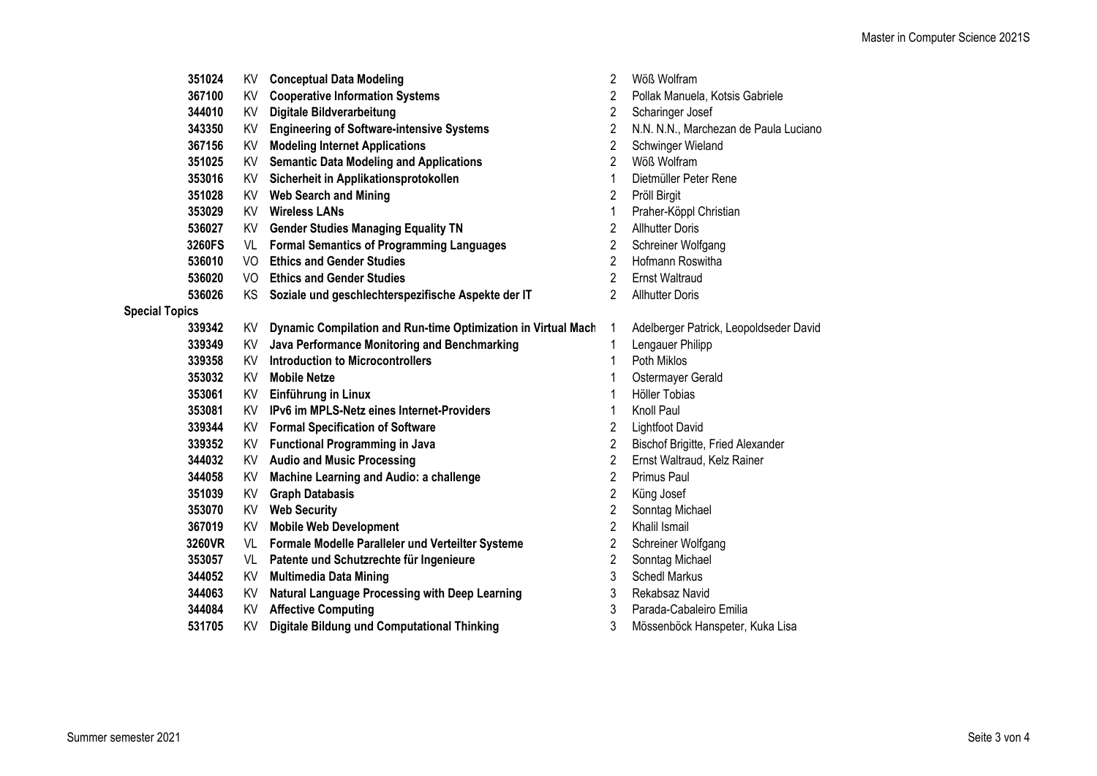|                       | 351024 |      | KV Conceptual Data Modeling                                   | 2              | Wöß Wolfram                            |
|-----------------------|--------|------|---------------------------------------------------------------|----------------|----------------------------------------|
|                       | 367100 |      | KV Cooperative Information Systems                            | 2              | Pollak Manuela, Kotsis Gabriele        |
|                       | 344010 | KV   | <b>Digitale Bildverarbeitung</b>                              | 2              | Scharinger Josef                       |
|                       | 343350 | KV.  | <b>Engineering of Software-intensive Systems</b>              | 2              | N.N. N.N., Marchezan de Paula Luciano  |
|                       | 367156 | KV   | <b>Modeling Internet Applications</b>                         | 2              | Schwinger Wieland                      |
|                       | 351025 | KV   | <b>Semantic Data Modeling and Applications</b>                | $\overline{2}$ | Wöß Wolfram                            |
|                       | 353016 |      | KV Sicherheit in Applikationsprotokollen                      | 1              | Dietmüller Peter Rene                  |
|                       | 351028 |      | KV Web Search and Mining                                      | 2              | Pröll Birgit                           |
|                       | 353029 |      | <b>KV</b> Wireless LANs                                       | 1              | Praher-Köppl Christian                 |
|                       | 536027 | KV l | <b>Gender Studies Managing Equality TN</b>                    | 2              | <b>Allhutter Doris</b>                 |
|                       | 3260FS | VL   | <b>Formal Semantics of Programming Languages</b>              | 2              | Schreiner Wolfgang                     |
|                       | 536010 | VO   | <b>Ethics and Gender Studies</b>                              | $\overline{c}$ | Hofmann Roswitha                       |
|                       | 536020 | VO   | <b>Ethics and Gender Studies</b>                              | 2              | <b>Ernst Waltraud</b>                  |
|                       | 536026 | KS.  | Soziale und geschlechterspezifische Aspekte der IT            | 2              | <b>Allhutter Doris</b>                 |
| <b>Special Topics</b> |        |      |                                                               |                |                                        |
|                       | 339342 | KV   | Dynamic Compilation and Run-time Optimization in Virtual Mach | 1              | Adelberger Patrick, Leopoldseder David |
|                       | 339349 | KV.  | Java Performance Monitoring and Benchmarking                  | 1              | Lengauer Philipp                       |
|                       | 339358 | KV.  | <b>Introduction to Microcontrollers</b>                       |                | Poth Miklos                            |
|                       | 353032 | KV   | <b>Mobile Netze</b>                                           |                | Ostermayer Gerald                      |
|                       | 353061 | KV   | Einführung in Linux                                           |                | Höller Tobias                          |
|                       | 353081 | KV.  | IPv6 im MPLS-Netz eines Internet-Providers                    | 1              | Knoll Paul                             |
|                       | 339344 | KV l | <b>Formal Specification of Software</b>                       | 2              | <b>Lightfoot David</b>                 |
|                       | 339352 |      | KV Functional Programming in Java                             | 2              | Bischof Brigitte, Fried Alexander      |
|                       | 344032 |      | KV Audio and Music Processing                                 | 2              | Ernst Waltraud, Kelz Rainer            |
|                       | 344058 | KV.  | Machine Learning and Audio: a challenge                       | 2              | Primus Paul                            |
|                       | 351039 | KV   | <b>Graph Databasis</b>                                        | 2              | Küng Josef                             |
|                       | 353070 | KV   | <b>Web Security</b>                                           | 2              | Sonntag Michael                        |
|                       | 367019 | KV   | <b>Mobile Web Development</b>                                 | $\overline{2}$ | Khalil Ismail                          |
|                       | 3260VR |      | VL Formale Modelle Paralleler und Verteilter Systeme          | 2              | Schreiner Wolfgang                     |
|                       | 353057 | VL   | Patente und Schutzrechte für Ingenieure                       | 2              | Sonntag Michael                        |
|                       | 344052 | KV.  | <b>Multimedia Data Mining</b>                                 | 3              | <b>Schedl Markus</b>                   |
|                       | 344063 | KV.  | Natural Language Processing with Deep Learning                | 3              | Rekabsaz Navid                         |
|                       | 344084 |      | <b>KV</b> Affective Computing                                 | 3              | Parada-Cabaleiro Emilia                |
|                       | 531705 | KV   | Digitale Bildung und Computational Thinking                   | 3              | Mössenböck Hanspeter, Kuka Lisa        |